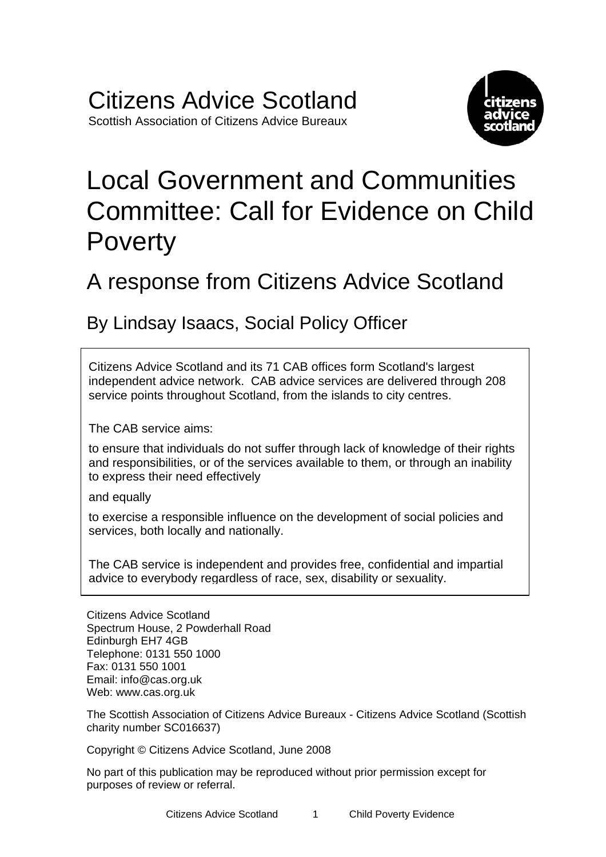

# Local Government and Communities Committee: Call for Evidence on Child Poverty

## A response from Citizens Advice Scotland

### By Lindsay Isaacs, Social Policy Officer

Citizens Advice Scotland and its 71 CAB offices form Scotland's largest independent advice network. CAB advice services are delivered through 208 service points throughout Scotland, from the islands to city centres.

The CAB service aims:

to ensure that individuals do not suffer through lack of knowledge of their rights and responsibilities, or of the services available to them, or through an inability to express their need effectively

and equally

to exercise a responsible influence on the development of social policies and services, both locally and nationally.

The CAB service is independent and provides free, confidential and impartial advice to everybody regardless of race, sex, disability or sexuality.

Citizens Advice Scotland Spectrum House, 2 Powderhall Road Edinburgh EH7 4GB Telephone: 0131 550 1000 Fax: 0131 550 1001 Email: [info@cas.org.uk](mailto:info@cas.org.uk) Web: [www.cas.org.uk](http://www.cas.org.uk/) 

The Scottish Association of Citizens Advice Bureaux - Citizens Advice Scotland (Scottish charity number SC016637)

Copyright © Citizens Advice Scotland, June 2008

No part of this publication may be reproduced without prior permission except for purposes of review or referral.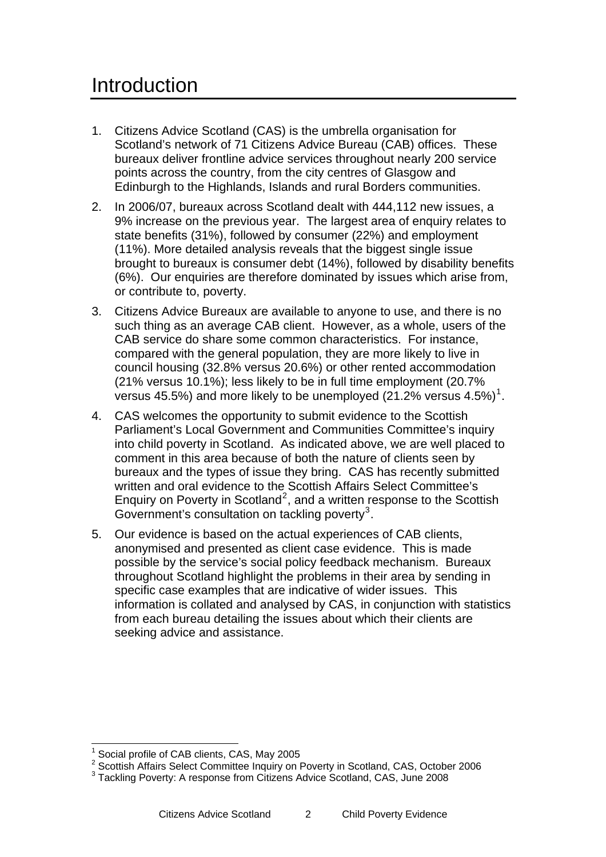- 1. Citizens Advice Scotland (CAS) is the umbrella organisation for Scotland's network of 71 Citizens Advice Bureau (CAB) offices. These bureaux deliver frontline advice services throughout nearly 200 service points across the country, from the city centres of Glasgow and Edinburgh to the Highlands, Islands and rural Borders communities.
- 2. In 2006/07, bureaux across Scotland dealt with 444,112 new issues, a 9% increase on the previous year. The largest area of enquiry relates to state benefits (31%), followed by consumer (22%) and employment (11%). More detailed analysis reveals that the biggest single issue brought to bureaux is consumer debt (14%), followed by disability benefits (6%). Our enquiries are therefore dominated by issues which arise from, or contribute to, poverty.
- 3. Citizens Advice Bureaux are available to anyone to use, and there is no such thing as an average CAB client. However, as a whole, users of the CAB service do share some common characteristics. For instance, compared with the general population, they are more likely to live in council housing (32.8% versus 20.6%) or other rented accommodation (21% versus 10.1%); less likely to be in full time employment (20.7% versus 45.5%) and more likely to be unemployed (2[1](#page-1-0).2% versus 4.5%)<sup>1</sup>.
- 4. CAS welcomes the opportunity to submit evidence to the Scottish Parliament's Local Government and Communities Committee's inquiry into child poverty in Scotland. As indicated above, we are well placed to comment in this area because of both the nature of clients seen by bureaux and the types of issue they bring. CAS has recently submitted written and oral evidence to the Scottish Affairs Select Committee's Enquiry on Poverty in Scotland<sup>[2](#page-1-1)</sup>, and a written response to the Scottish Government's consultation on tackling poverty<sup>[3](#page-1-2)</sup>.
- 5. Our evidence is based on the actual experiences of CAB clients, anonymised and presented as client case evidence. This is made possible by the service's social policy feedback mechanism. Bureaux throughout Scotland highlight the problems in their area by sending in specific case examples that are indicative of wider issues. This information is collated and analysed by CAS, in conjunction with statistics from each bureau detailing the issues about which their clients are seeking advice and assistance.

 <sup>1</sup> Social profile of CAB clients, CAS, May 2005

<span id="page-1-0"></span><sup>&</sup>lt;sup>2</sup> Scottish Affairs Select Committee Inquiry on Poverty in Scotland, CAS, October 2006

<span id="page-1-2"></span><span id="page-1-1"></span><sup>&</sup>lt;sup>3</sup> Tackling Poverty: A response from Citizens Advice Scotland, CAS, June 2008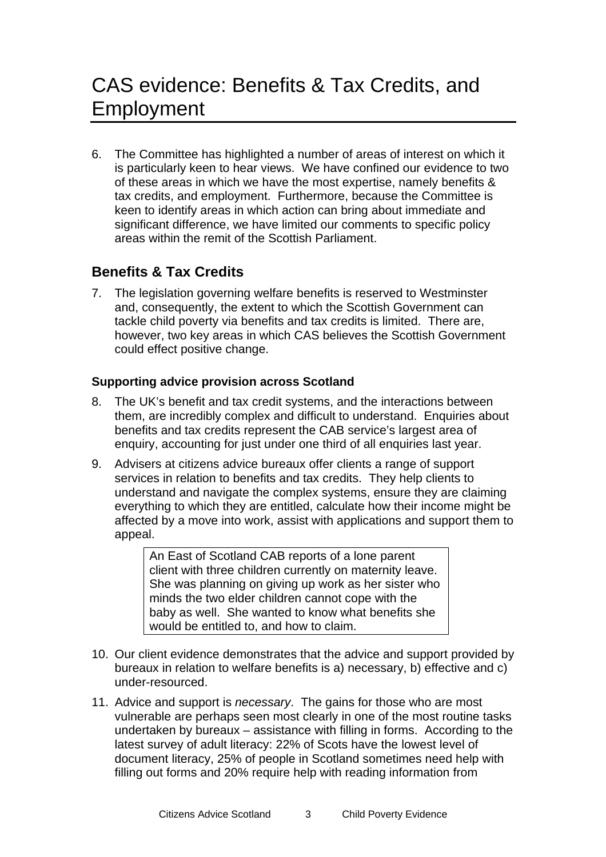6. The Committee has highlighted a number of areas of interest on which it is particularly keen to hear views. We have confined our evidence to two of these areas in which we have the most expertise, namely benefits & tax credits, and employment. Furthermore, because the Committee is keen to identify areas in which action can bring about immediate and significant difference, we have limited our comments to specific policy areas within the remit of the Scottish Parliament.

#### **Benefits & Tax Credits**

7. The legislation governing welfare benefits is reserved to Westminster and, consequently, the extent to which the Scottish Government can tackle child poverty via benefits and tax credits is limited. There are, however, two key areas in which CAS believes the Scottish Government could effect positive change.

#### **Supporting advice provision across Scotland**

- 8. The UK's benefit and tax credit systems, and the interactions between them, are incredibly complex and difficult to understand. Enquiries about benefits and tax credits represent the CAB service's largest area of enquiry, accounting for just under one third of all enquiries last year.
- 9. Advisers at citizens advice bureaux offer clients a range of support services in relation to benefits and tax credits. They help clients to understand and navigate the complex systems, ensure they are claiming everything to which they are entitled, calculate how their income might be affected by a move into work, assist with applications and support them to appeal.

An East of Scotland CAB reports of a lone parent client with three children currently on maternity leave. She was planning on giving up work as her sister who minds the two elder children cannot cope with the baby as well. She wanted to know what benefits she would be entitled to, and how to claim.

- 10. Our client evidence demonstrates that the advice and support provided by bureaux in relation to welfare benefits is a) necessary, b) effective and c) under-resourced.
- 11. Advice and support is *necessary*. The gains for those who are most vulnerable are perhaps seen most clearly in one of the most routine tasks undertaken by bureaux – assistance with filling in forms. According to the latest survey of adult literacy: 22% of Scots have the lowest level of document literacy, 25% of people in Scotland sometimes need help with filling out forms and 20% require help with reading information from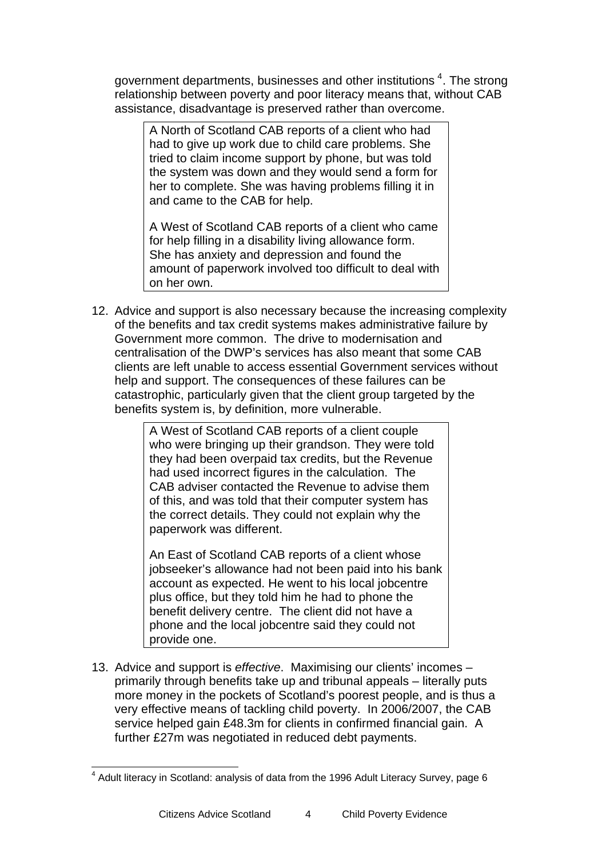government departments, businesses and other institutions  $4$ . The strong relationship between poverty and poor literacy means that, without CAB assistance, disadvantage is preserved rather than overcome.

A North of Scotland CAB reports of a client who had had to give up work due to child care problems. She tried to claim income support by phone, but was told the system was down and they would send a form for her to complete. She was having problems filling it in and came to the CAB for help.

A West of Scotland CAB reports of a client who came for help filling in a disability living allowance form. She has anxiety and depression and found the amount of paperwork involved too difficult to deal with on her own.

12. Advice and support is also necessary because the increasing complexity of the benefits and tax credit systems makes administrative failure by Government more common. The drive to modernisation and centralisation of the DWP's services has also meant that some CAB clients are left unable to access essential Government services without help and support. The consequences of these failures can be catastrophic, particularly given that the client group targeted by the benefits system is, by definition, more vulnerable.

> A West of Scotland CAB reports of a client couple who were bringing up their grandson. They were told they had been overpaid tax credits, but the Revenue had used incorrect figures in the calculation. The CAB adviser contacted the Revenue to advise them of this, and was told that their computer system has the correct details. They could not explain why the paperwork was different.

An East of Scotland CAB reports of a client whose jobseeker's allowance had not been paid into his bank account as expected. He went to his local jobcentre plus office, but they told him he had to phone the benefit delivery centre. The client did not have a phone and the local jobcentre said they could not provide one.

13. Advice and support is *effective*. Maximising our clients' incomes – primarily through benefits take up and tribunal appeals – literally puts more money in the pockets of Scotland's poorest people, and is thus a very effective means of tackling child poverty. In 2006/2007, the CAB service helped gain £48.3m for clients in confirmed financial gain. A further £27m was negotiated in reduced debt payments.

 $\overline{a}$ 

 $4$  Adult literacy in Scotland: analysis of data from the 1996 Adult Literacy Survey, page 6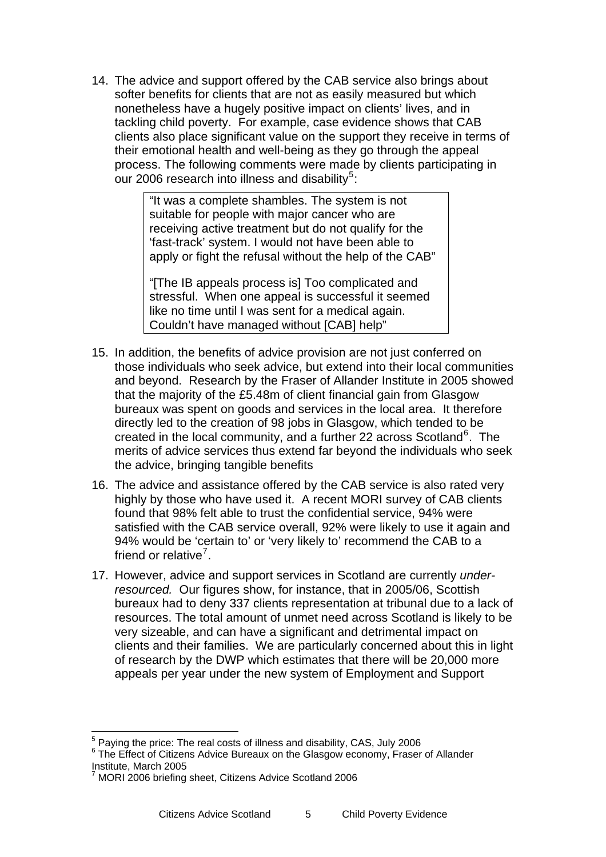<span id="page-4-0"></span>14. The advice and support offered by the CAB service also brings about softer benefits for clients that are not as easily measured but which nonetheless have a hugely positive impact on clients' lives, and in tackling child poverty. For example, case evidence shows that CAB clients also place significant value on the support they receive in terms of their emotional health and well-being as they go through the appeal process. The following comments were made by clients participating in our 2006 research into illness and disability<sup>[5](#page-4-0)</sup>:

> "It was a complete shambles. The system is not suitable for people with major cancer who are receiving active treatment but do not qualify for the 'fast-track' system. I would not have been able to apply or fight the refusal without the help of the CAB"

"[The IB appeals process is] Too complicated and stressful. When one appeal is successful it seemed like no time until I was sent for a medical again. Couldn't have managed without [CAB] help"

- 15. In addition, the benefits of advice provision are not just conferred on those individuals who seek advice, but extend into their local communities and beyond. Research by the Fraser of Allander Institute in 2005 showed that the majority of the £5.48m of client financial gain from Glasgow bureaux was spent on goods and services in the local area. It therefore directly led to the creation of 98 jobs in Glasgow, which tended to be created in the local community, and a further 22 across Scotland<sup>[6](#page-4-0)</sup>. The merits of advice services thus extend far beyond the individuals who seek the advice, bringing tangible benefits
- 16. The advice and assistance offered by the CAB service is also rated very highly by those who have used it. A recent MORI survey of CAB clients found that 98% felt able to trust the confidential service, 94% were satisfied with the CAB service overall, 92% were likely to use it again and 94% would be 'certain to' or 'very likely to' recommend the CAB to a friend or relative<sup>[7](#page-4-0)</sup>.
- 17. However, advice and support services in Scotland are currently *underresourced.* Our figures show, for instance, that in 2005/06, Scottish bureaux had to deny 337 clients representation at tribunal due to a lack of resources. The total amount of unmet need across Scotland is likely to be very sizeable, and can have a significant and detrimental impact on clients and their families. We are particularly concerned about this in light of research by the DWP which estimates that there will be 20,000 more appeals per year under the new system of Employment and Support

 $\overline{a}$ 

 $^5$  Paying the price: The real costs of illness and disability, CAS, July 2006

<sup>&</sup>lt;sup>6</sup> The Effect of Citizens Advice Bureaux on the Glasgow economy, Fraser of Allander Institute, March 2005 7

MORI 2006 briefing sheet, Citizens Advice Scotland 2006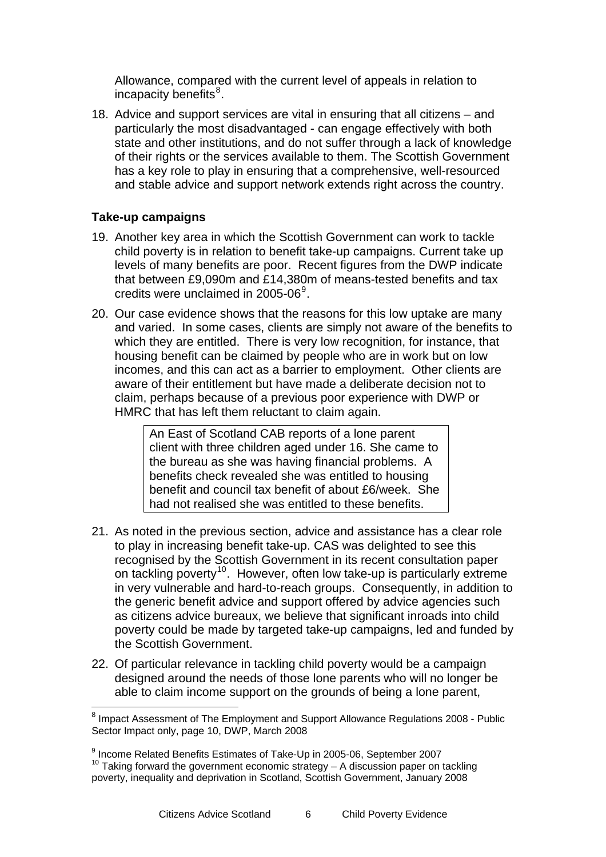<span id="page-5-0"></span>Allowance, compared with the current level of appeals in relation to incapacity benefits<sup>8</sup>.

18. Advice and support services are vital in ensuring that all citizens – and particularly the most disadvantaged - can engage effectively with both state and other institutions, and do not suffer through a lack of knowledge of their rights or the services available to them. The Scottish Government has a key role to play in ensuring that a comprehensive, well-resourced and stable advice and support network extends right across the country.

#### **Take-up campaigns**

- 19. Another key area in which the Scottish Government can work to tackle child poverty is in relation to benefit take-up campaigns. Current take up levels of many benefits are poor. Recent figures from the DWP indicate that between £9,090m and £14,380m of means-tested benefits and tax credits were unclaimed in 2005-06 $^9$  $^9$ .
- 20. Our case evidence shows that the reasons for this low uptake are many and varied. In some cases, clients are simply not aware of the benefits to which they are entitled. There is very low recognition, for instance, that housing benefit can be claimed by people who are in work but on low incomes, and this can act as a barrier to employment. Other clients are aware of their entitlement but have made a deliberate decision not to claim, perhaps because of a previous poor experience with DWP or HMRC that has left them reluctant to claim again.

An East of Scotland CAB reports of a lone parent client with three children aged under 16. She came to the bureau as she was having financial problems. A benefits check revealed she was entitled to housing benefit and council tax benefit of about £6/week. She had not realised she was entitled to these benefits.

- 21. As noted in the previous section, advice and assistance has a clear role to play in increasing benefit take-up. CAS was delighted to see this recognised by the Scottish Government in its recent consultation paper on tackling poverty<sup>[10](#page-5-0)</sup>. However, often low take-up is particularly extreme in very vulnerable and hard-to-reach groups. Consequently, in addition to the generic benefit advice and support offered by advice agencies such as citizens advice bureaux, we believe that significant inroads into child poverty could be made by targeted take-up campaigns, led and funded by the Scottish Government.
- 22. Of particular relevance in tackling child poverty would be a campaign designed around the needs of those lone parents who will no longer be able to claim income support on the grounds of being a lone parent,

<sup>&</sup>lt;sup>8</sup> Impact Assessment of The Employment and Support Allowance Regulations 2008 - Public Sector Impact only, page 10, DWP, March 2008

<sup>&</sup>lt;sup>9</sup> Income Related Benefits Estimates of Take-Up in 2005-06, September 2007  $10$  Taking forward the government economic strategy – A discussion paper on tackling poverty, inequality and deprivation in Scotland, Scottish Government, January 2008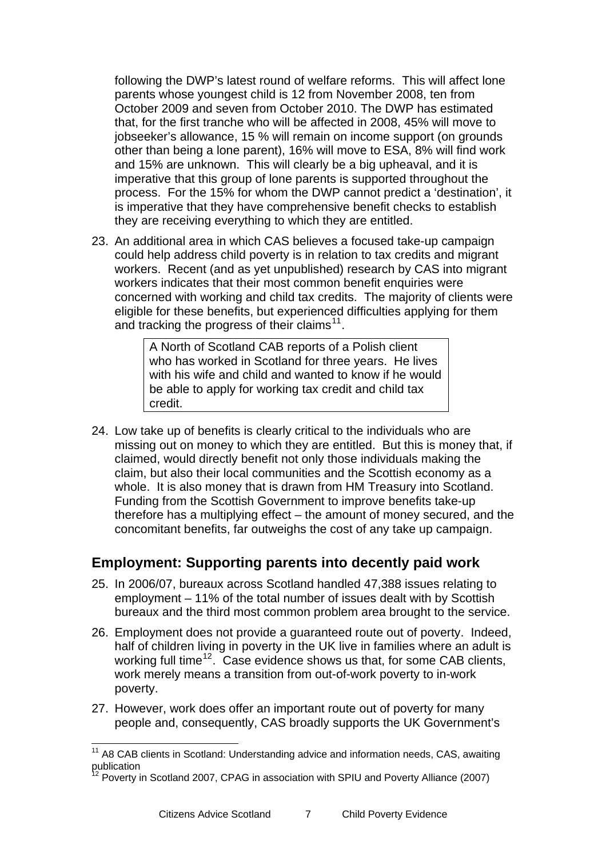<span id="page-6-0"></span>following the DWP's latest round of welfare reforms. This will affect lone parents whose youngest child is 12 from November 2008, ten from October 2009 and seven from October 2010. The DWP has estimated that, for the first tranche who will be affected in 2008, 45% will move to jobseeker's allowance, 15 % will remain on income support (on grounds other than being a lone parent), 16% will move to ESA, 8% will find work and 15% are unknown. This will clearly be a big upheaval, and it is imperative that this group of lone parents is supported throughout the process. For the 15% for whom the DWP cannot predict a 'destination', it is imperative that they have comprehensive benefit checks to establish they are receiving everything to which they are entitled.

23. An additional area in which CAS believes a focused take-up campaign could help address child poverty is in relation to tax credits and migrant workers. Recent (and as yet unpublished) research by CAS into migrant workers indicates that their most common benefit enquiries were concerned with working and child tax credits. The majority of clients were eligible for these benefits, but experienced difficulties applying for them and tracking the progress of their claims<sup>[11](#page-6-0)</sup>.

> A North of Scotland CAB reports of a Polish client who has worked in Scotland for three years. He lives with his wife and child and wanted to know if he would be able to apply for working tax credit and child tax credit.

24. Low take up of benefits is clearly critical to the individuals who are missing out on money to which they are entitled. But this is money that, if claimed, would directly benefit not only those individuals making the claim, but also their local communities and the Scottish economy as a whole. It is also money that is drawn from HM Treasury into Scotland. Funding from the Scottish Government to improve benefits take-up therefore has a multiplying effect – the amount of money secured, and the concomitant benefits, far outweighs the cost of any take up campaign.

#### **Employment: Supporting parents into decently paid work**

- 25. In 2006/07, bureaux across Scotland handled 47,388 issues relating to employment – 11% of the total number of issues dealt with by Scottish bureaux and the third most common problem area brought to the service.
- 26. Employment does not provide a guaranteed route out of poverty. Indeed, half of children living in poverty in the UK live in families where an adult is working full time<sup>[12](#page-6-0)</sup>. Case evidence shows us that, for some CAB clients, work merely means a transition from out-of-work poverty to in-work poverty.
- 27. However, work does offer an important route out of poverty for many people and, consequently, CAS broadly supports the UK Government's

 $11$  A8 CAB clients in Scotland: Understanding advice and information needs, CAS, awaiting publication

<sup>12</sup> Poverty in Scotland 2007, CPAG in association with SPIU and Poverty Alliance (2007)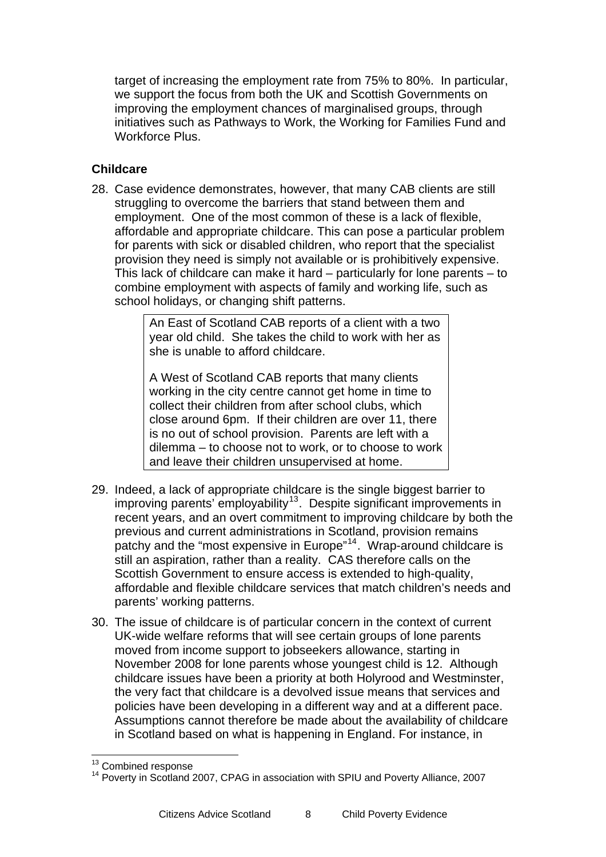<span id="page-7-0"></span>target of increasing the employment rate from 75% to 80%. In particular, we support the focus from both the UK and Scottish Governments on improving the employment chances of marginalised groups, through initiatives such as Pathways to Work, the Working for Families Fund and Workforce Plus.

#### **Childcare**

28. Case evidence demonstrates, however, that many CAB clients are still struggling to overcome the barriers that stand between them and employment. One of the most common of these is a lack of flexible, affordable and appropriate childcare. This can pose a particular problem for parents with sick or disabled children, who report that the specialist provision they need is simply not available or is prohibitively expensive. This lack of childcare can make it hard – particularly for lone parents – to combine employment with aspects of family and working life, such as school holidays, or changing shift patterns.

> An East of Scotland CAB reports of a client with a two year old child. She takes the child to work with her as she is unable to afford childcare.

> A West of Scotland CAB reports that many clients working in the city centre cannot get home in time to collect their children from after school clubs, which close around 6pm. If their children are over 11, there is no out of school provision. Parents are left with a dilemma – to choose not to work, or to choose to work and leave their children unsupervised at home.

- 29. Indeed, a lack of appropriate childcare is the single biggest barrier to  $\frac{1}{2}$  improving parents' employability<sup>[13](#page-7-0)</sup>. Despite significant improvements in recent years, and an overt commitment to improving childcare by both the previous and current administrations in Scotland, provision remains patchy and the "most expensive in Europe"<sup>[14](#page-7-0)</sup>. Wrap-around childcare is still an aspiration, rather than a reality. CAS therefore calls on the Scottish Government to ensure access is extended to high-quality, affordable and flexible childcare services that match children's needs and parents' working patterns.
- 30. The issue of childcare is of particular concern in the context of current UK-wide welfare reforms that will see certain groups of lone parents moved from income support to jobseekers allowance, starting in November 2008 for lone parents whose youngest child is 12. Although childcare issues have been a priority at both Holyrood and Westminster, the very fact that childcare is a devolved issue means that services and policies have been developing in a different way and at a different pace. Assumptions cannot therefore be made about the availability of childcare in Scotland based on what is happening in England. For instance, in

<sup>&</sup>lt;sup>13</sup> Combined response

<sup>&</sup>lt;sup>14</sup> Poverty in Scotland 2007, CPAG in association with SPIU and Poverty Alliance, 2007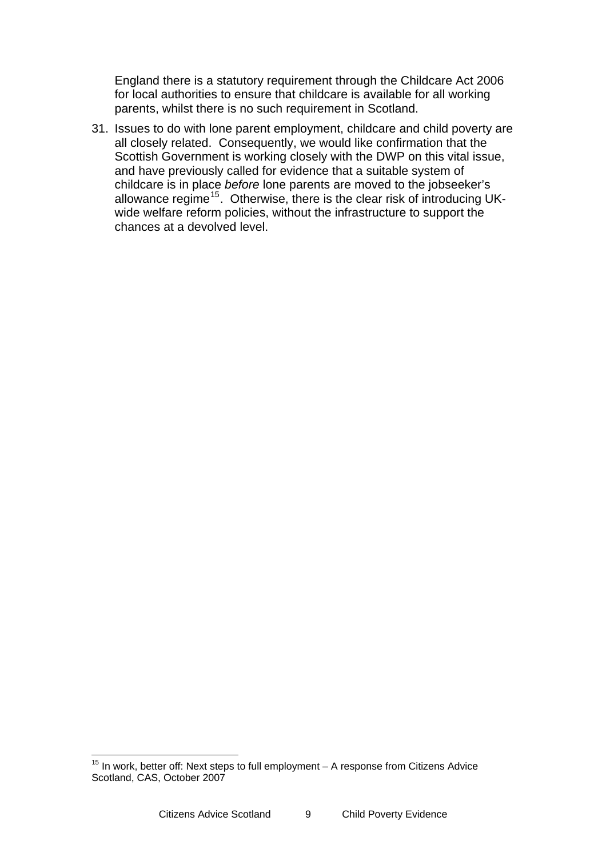<span id="page-8-0"></span>England there is a statutory requirement through the Childcare Act 2006 for local authorities to ensure that childcare is available for all working parents, whilst there is no such requirement in Scotland.

31. Issues to do with lone parent employment, childcare and child poverty are all closely related. Consequently, we would like confirmation that the Scottish Government is working closely with the DWP on this vital issue, and have previously called for evidence that a suitable system of childcare is in place *before* lone parents are moved to the jobseeker's allowance regime<sup>[15](#page-8-0)</sup>. Otherwise, there is the clear risk of introducing UKwide welfare reform policies, without the infrastructure to support the chances at a devolved level.

 $15$  In work, better off: Next steps to full employment  $-$  A response from Citizens Advice Scotland, CAS, October 2007